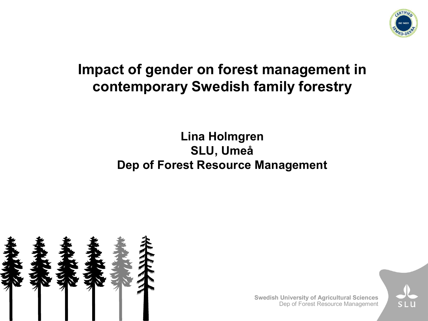

## **Impact of gender on forest management in contemporary Swedish family forestry**

#### **Lina Holmgren SLU, Umeå Dep of Forest Resource Management**



**Swedish University of Agricultural Sciences** Dep of Forest Resource Management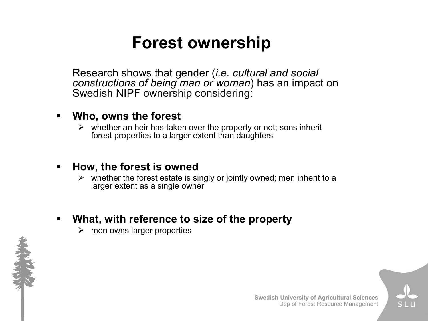# **Forest ownership**

Research shows that gender (*i.e. cultural and social constructions of being man or woman*) has an impact on Swedish NIPF ownership considering:

#### ß **Who, owns the forest**

 $\triangleright$  whether an heir has taken over the property or not; sons inherit forest properties to a larger extent than daughters

#### **How, the forest is owned**

 $\triangleright$  whether the forest estate is singly or jointly owned; men inherit to a larger extent as a single owner

#### ß **What, with reference to size of the property**

 $\triangleright$  men owns larger properties



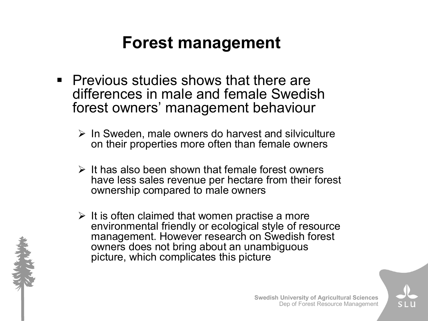# **Forest management**

- **Previous studies shows that there are** differences in male and female Swedish forest owners' management behaviour
	- $\triangleright$  In Sweden, male owners do harvest and silviculture on their properties more often than female owners
	- $\triangleright$  It has also been shown that female forest owners have less sales revenue per hectare from their forest ownership compared to male owners
	- $\triangleright$  It is often claimed that women practise a more environmental friendly or ecological style of resource management. However research on Swedish forest owners does not bring about an unambiguous picture, which complicates this picture





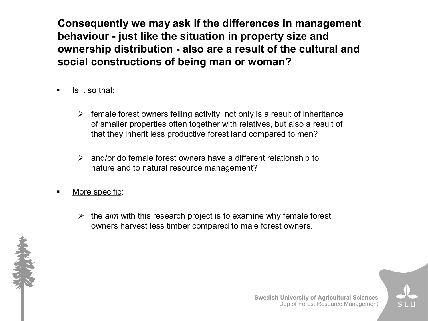**Consequently we may ask if the differences in management behaviour just like the situation in property size and ownership distribution also are a result of the cultural and social constructions of being man or woman?**

- ß Is it so that:
	- $\triangleright$  female forest owners felling activity, not only is a result of inheritance of smaller properties often together with relatives, but also a result of that they inherit less productive forest land compared to men?
	- $\triangleright$  and/or do female forest owners have a different relationship to nature and to natural resource management?
- More specific:
	- $\triangleright$  the *aim* with this research project is to examine why female forest owners harvest less timber compared to male forest owners.



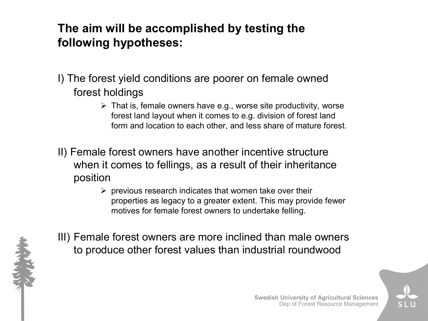#### **The aim will be accomplished by testing the following hypotheses:**

- I) The forest yield conditions are poorer on female owned forest holdings
	- $\triangleright$  That is, female owners have e.g., worse site productivity, worse forest land layout when it comes to e.g. division of forest land form and location to each other, and less share of mature forest.
- II) Female forest owners have another incentive structure when it comes to fellings, as a result of their inheritance position
	- $\triangleright$  previous research indicates that women take over their properties as legacy to a greater extent. This may provide fewer motives for female forest owners to undertake felling.



III) Female forest owners are more inclined than male owners to produce other forest values than industrial roundwood



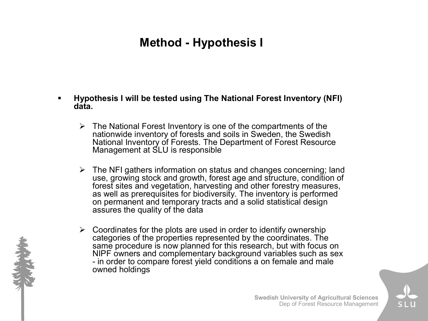### **Method - Hypothesis I**

- ß **Hypothesis I will be tested using The National Forest Inventory (NFI) data.**
	- $\triangleright$  The National Forest Inventory is one of the compartments of the nationwide inventory of forests and soils in Sweden, the Swedish National Inventory of Forests. The Department of Forest Resource Management at SLU is responsible
	- $\triangleright$  The NFI gathers information on status and changes concerning; land use, growing stock and growth, forest age and structure, condition of forest sites and vegetation, harvesting and other forestry measures, as well as prerequisites for biodiversity. The inventory is performed on permanent and temporary tracts and a solid statistical design assures the quality of the data
	- $\triangleright$  Coordinates for the plots are used in order to identify ownership categories of the properties represented by the coordinates. The same procedure is now planned for this research, but with focus on NIPF owners and complementary background variables such as sex in order to compare forest yield conditions a on female and male owned holdings

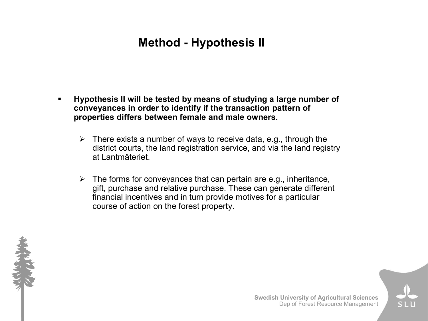### **Method - Hypothesis II**

- ß **Hypothesis II will be tested by means of studying a large number of conveyances in order to identify if the transaction pattern of properties differs between female and male owners.** 
	- $\triangleright$  There exists a number of ways to receive data, e.g., through the district courts, the land registration service, and via the land registry at Lantmäteriet.
	- $\triangleright$  The forms for convevances that can pertain are e.g., inheritance, gift, purchase and relative purchase. These can generate different financial incentives and in turn provide motives for a particular course of action on the forest property.



**Swedish University of Agricultural Sciences** Dep of Forest Resource Management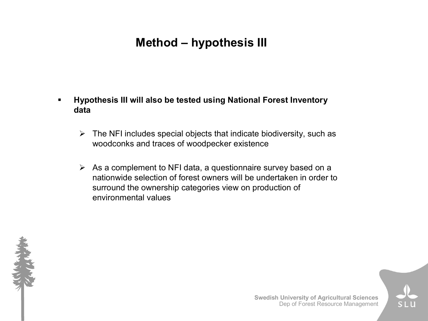### **Method – hypothesis III**

- ß **Hypothesis III will also be tested using National Forest Inventory data** 
	- $\triangleright$  The NFI includes special objects that indicate biodiversity, such as woodconks and traces of woodpecker existence
	- $\triangleright$  As a complement to NFI data, a questionnaire survey based on a nationwide selection of forest owners will be undertaken in order to surround the ownership categories view on production of environmental values

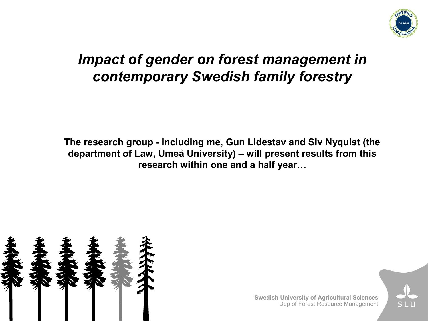

## *Impact of gender on forest management in contemporary Swedish family forestry*

**The research group including me, Gun Lidestav and Siv Nyquist (the department of Law, Umeå University) – will present results from this research within one and a half year…**



**Swedish University of Agricultural Sciences** Dep of Forest Resource Management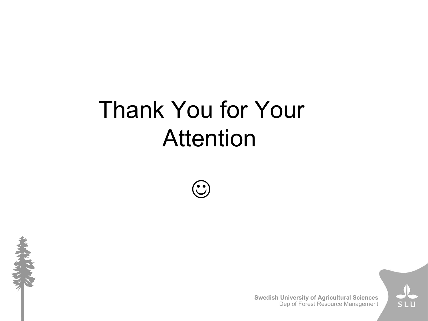# Thank You for Your Attention

 $\begin{pmatrix} \bullet & \bullet \\ \bullet & J \end{pmatrix}$ 



**Swedish University of Agricultural Sciences** Dep of Forest Resource Management

S I